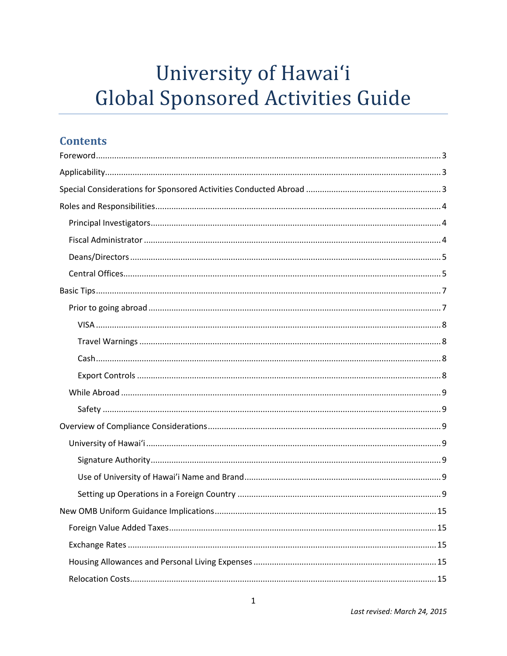# University of Hawai'i **Global Sponsored Activities Guide**

# **Contents**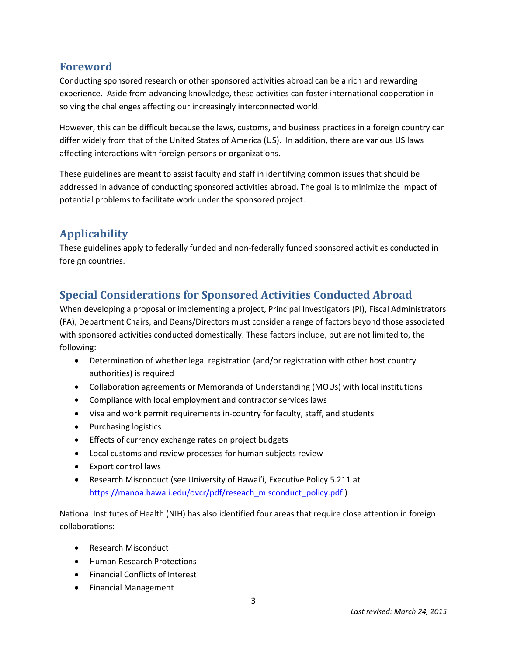# **Foreword**

Conducting sponsored research or other sponsored activities abroad can be a rich and rewarding experience. Aside from advancing knowledge, these activities can foster international cooperation in solving the challenges affecting our increasingly interconnected world.

However, this can be difficult because the laws, customs, and business practices in a foreign country can differ widely from that of the United States of America (US). In addition, there are various US laws affecting interactions with foreign persons or organizations.

These guidelines are meant to assist faculty and staff in identifying common issues that should be addressed in advance of conducting sponsored activities abroad. The goal is to minimize the impact of potential problems to facilitate work under the sponsored project.

# **Applicability**

These guidelines apply to federally funded and non-federally funded sponsored activities conducted in foreign countries.

# **Special Considerations for Sponsored Activities Conducted Abroad**

When developing a proposal or implementing a project, Principal Investigators (PI), Fiscal Administrators (FA), Department Chairs, and Deans/Directors must consider a range of factors beyond those associated with sponsored activities conducted domestically. These factors include, but are not limited to, the following:

- Determination of whether legal registration (and/or registration with other host country authorities) is required
- Collaboration agreements or Memoranda of Understanding (MOUs) with local institutions
- Compliance with local employment and contractor services laws
- Visa and work permit requirements in-country for faculty, staff, and students
- Purchasing logistics
- Effects of currency exchange rates on project budgets
- Local customs and review processes for human subjects review
- Export control laws
- Research Misconduct (see University of Hawai'i, Executive Policy 5.211 at [https://manoa.hawaii.edu/ovcr/pdf/reseach\\_misconduct\\_policy.pdf](https://manoa.hawaii.edu/ovcr/pdf/reseach_misconduct_policy.pdf) )

National Institutes of Health (NIH) has also identified four areas that require close attention in foreign collaborations:

- Research Misconduct
- Human Research Protections
- Financial Conflicts of Interest
- Financial Management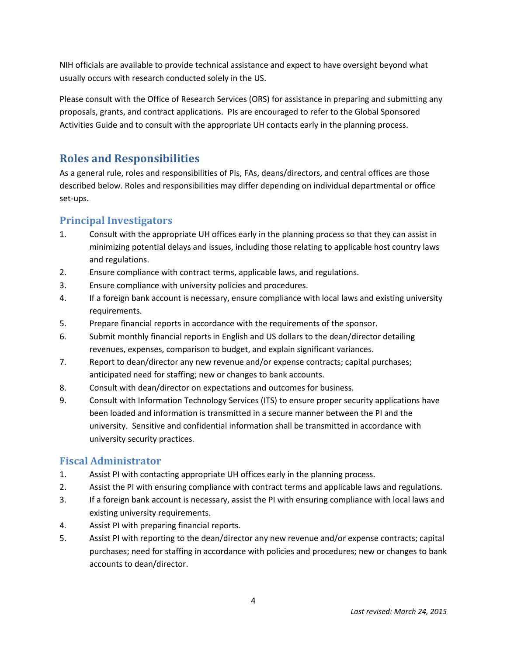NIH officials are available to provide technical assistance and expect to have oversight beyond what usually occurs with research conducted solely in the US.

Please consult with the Office of Research Services (ORS) for assistance in preparing and submitting any proposals, grants, and contract applications. PIs are encouraged to refer to the Global Sponsored Activities Guide and to consult with the appropriate UH contacts early in the planning process.

# **Roles and Responsibilities**

As a general rule, roles and responsibilities of PIs, FAs, deans/directors, and central offices are those described below. Roles and responsibilities may differ depending on individual departmental or office set-ups.

# **Principal Investigators**

- 1. Consult with the appropriate UH offices early in the planning process so that they can assist in minimizing potential delays and issues, including those relating to applicable host country laws and regulations.
- 2. Ensure compliance with contract terms, applicable laws, and regulations.
- 3. Ensure compliance with university policies and procedures.
- 4. If a foreign bank account is necessary, ensure compliance with local laws and existing university requirements.
- 5. Prepare financial reports in accordance with the requirements of the sponsor.
- 6. Submit monthly financial reports in English and US dollars to the dean/director detailing revenues, expenses, comparison to budget, and explain significant variances.
- 7. Report to dean/director any new revenue and/or expense contracts; capital purchases; anticipated need for staffing; new or changes to bank accounts.
- 8. Consult with dean/director on expectations and outcomes for business.
- 9. Consult with Information Technology Services (ITS) to ensure proper security applications have been loaded and information is transmitted in a secure manner between the PI and the university. Sensitive and confidential information shall be transmitted in accordance with university security practices.

# **Fiscal Administrator**

- 1. Assist PI with contacting appropriate UH offices early in the planning process.
- 2. Assist the PI with ensuring compliance with contract terms and applicable laws and regulations.
- 3. If a foreign bank account is necessary, assist the PI with ensuring compliance with local laws and existing university requirements.
- 4. Assist PI with preparing financial reports.
- 5. Assist PI with reporting to the dean/director any new revenue and/or expense contracts; capital purchases; need for staffing in accordance with policies and procedures; new or changes to bank accounts to dean/director.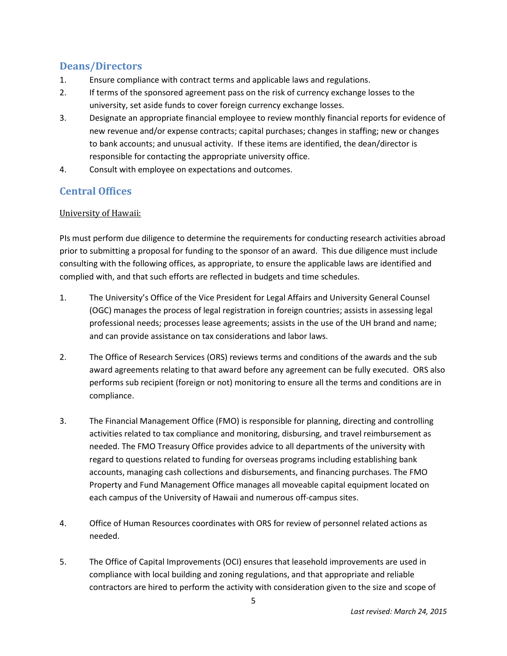# **Deans/Directors**

- 1. Ensure compliance with contract terms and applicable laws and regulations.
- 2. If terms of the sponsored agreement pass on the risk of currency exchange losses to the university, set aside funds to cover foreign currency exchange losses.
- 3. Designate an appropriate financial employee to review monthly financial reports for evidence of new revenue and/or expense contracts; capital purchases; changes in staffing; new or changes to bank accounts; and unusual activity. If these items are identified, the dean/director is responsible for contacting the appropriate university office.
- 4. Consult with employee on expectations and outcomes.

# **Central Offices**

## University of Hawaii:

PIs must perform due diligence to determine the requirements for conducting research activities abroad prior to submitting a proposal for funding to the sponsor of an award. This due diligence must include consulting with the following offices, as appropriate, to ensure the applicable laws are identified and complied with, and that such efforts are reflected in budgets and time schedules.

- 1. The University's Office of the Vice President for Legal Affairs and University General Counsel (OGC) manages the process of legal registration in foreign countries; assists in assessing legal professional needs; processes lease agreements; assists in the use of the UH brand and name; and can provide assistance on tax considerations and labor laws.
- 2. The Office of Research Services (ORS) reviews terms and conditions of the awards and the sub award agreements relating to that award before any agreement can be fully executed. ORS also performs sub recipient (foreign or not) monitoring to ensure all the terms and conditions are in compliance.
- 3. The Financial Management Office (FMO) is responsible for planning, directing and controlling activities related to tax compliance and monitoring, disbursing, and travel reimbursement as needed. The FMO Treasury Office provides advice to all departments of the university with regard to questions related to funding for overseas programs including establishing bank accounts, managing cash collections and disbursements, and financing purchases. The FMO Property and Fund Management Office manages all moveable capital equipment located on each campus of the University of Hawaii and numerous off-campus sites.
- 4. Office of Human Resources coordinates with ORS for review of personnel related actions as needed.
- 5. The Office of Capital Improvements (OCI) ensures that leasehold improvements are used in compliance with local building and zoning regulations, and that appropriate and reliable contractors are hired to perform the activity with consideration given to the size and scope of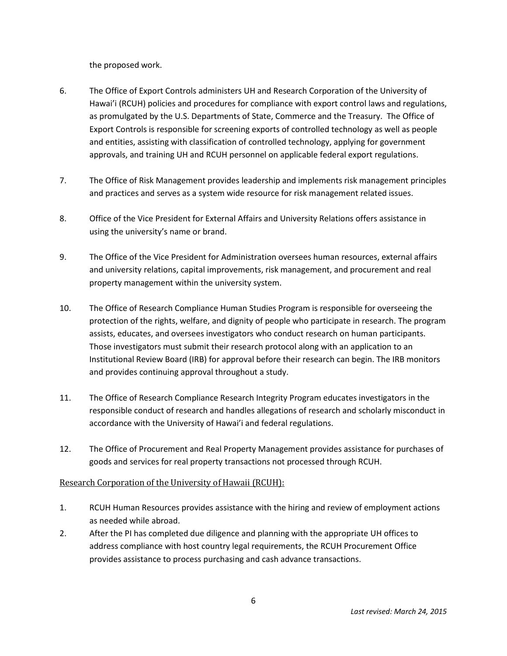the proposed work.

- 6. The Office of Export Controls administers UH and Research Corporation of the University of Hawai'i (RCUH) policies and procedures for compliance with export control laws and regulations, as promulgated by the U.S. Departments of State, Commerce and the Treasury. The Office of Export Controls is responsible for screening exports of controlled technology as well as people and entities, assisting with classification of controlled technology, applying for government approvals, and training UH and RCUH personnel on applicable federal export regulations.
- 7. The Office of Risk Management provides leadership and implements risk management principles and practices and serves as a system wide resource for risk management related issues.
- 8. Office of the Vice President for External Affairs and University Relations offers assistance in using the university's name or brand.
- 9. The Office of the Vice President for Administration oversees human resources, external affairs and university relations, capital improvements, risk management, and procurement and real property management within the university system.
- 10. The Office of Research Compliance Human Studies Program is responsible for overseeing the protection of the rights, welfare, and dignity of people who participate in research. The program assists, educates, and oversees investigators who conduct research on human participants. Those investigators must submit their research protocol along with an application to an Institutional Review Board (IRB) for approval before their research can begin. The IRB monitors and provides continuing approval throughout a study.
- 11. The Office of Research Compliance Research Integrity Program educates investigators in the responsible conduct of research and handles allegations of research and scholarly misconduct in accordance with the University of Hawai'i and federal regulations.
- 12. The Office of Procurement and Real Property Management provides assistance for purchases of goods and services for real property transactions not processed through RCUH.

#### Research Corporation of the University of Hawaii (RCUH):

- 1. RCUH Human Resources provides assistance with the hiring and review of employment actions as needed while abroad.
- 2. After the PI has completed due diligence and planning with the appropriate UH offices to address compliance with host country legal requirements, the RCUH Procurement Office provides assistance to process purchasing and cash advance transactions.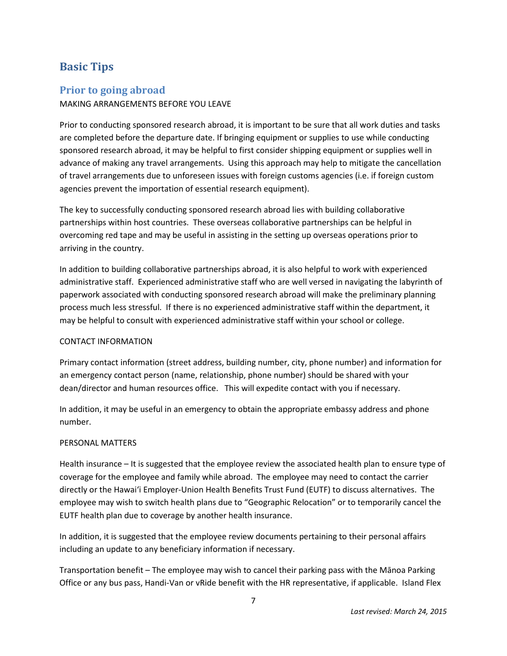# **Basic Tips**

# **Prior to going abroad**

#### MAKING ARRANGEMENTS BEFORE YOU LEAVE

Prior to conducting sponsored research abroad, it is important to be sure that all work duties and tasks are completed before the departure date. If bringing equipment or supplies to use while conducting sponsored research abroad, it may be helpful to first consider shipping equipment or supplies well in advance of making any travel arrangements. Using this approach may help to mitigate the cancellation of travel arrangements due to unforeseen issues with foreign customs agencies (i.e. if foreign custom agencies prevent the importation of essential research equipment).

The key to successfully conducting sponsored research abroad lies with building collaborative partnerships within host countries. These overseas collaborative partnerships can be helpful in overcoming red tape and may be useful in assisting in the setting up overseas operations prior to arriving in the country.

In addition to building collaborative partnerships abroad, it is also helpful to work with experienced administrative staff. Experienced administrative staff who are well versed in navigating the labyrinth of paperwork associated with conducting sponsored research abroad will make the preliminary planning process much less stressful. If there is no experienced administrative staff within the department, it may be helpful to consult with experienced administrative staff within your school or college.

#### CONTACT INFORMATION

Primary contact information (street address, building number, city, phone number) and information for an emergency contact person (name, relationship, phone number) should be shared with your dean/director and human resources office. This will expedite contact with you if necessary.

In addition, it may be useful in an emergency to obtain the appropriate embassy address and phone number.

#### PERSONAL MATTERS

Health insurance – It is suggested that the employee review the associated health plan to ensure type of coverage for the employee and family while abroad. The employee may need to contact the carrier directly or the Hawai'i Employer-Union Health Benefits Trust Fund (EUTF) to discuss alternatives. The employee may wish to switch health plans due to "Geographic Relocation" or to temporarily cancel the EUTF health plan due to coverage by another health insurance.

In addition, it is suggested that the employee review documents pertaining to their personal affairs including an update to any beneficiary information if necessary.

Transportation benefit – The employee may wish to cancel their parking pass with the Mānoa Parking Office or any bus pass, Handi-Van or vRide benefit with the HR representative, if applicable. Island Flex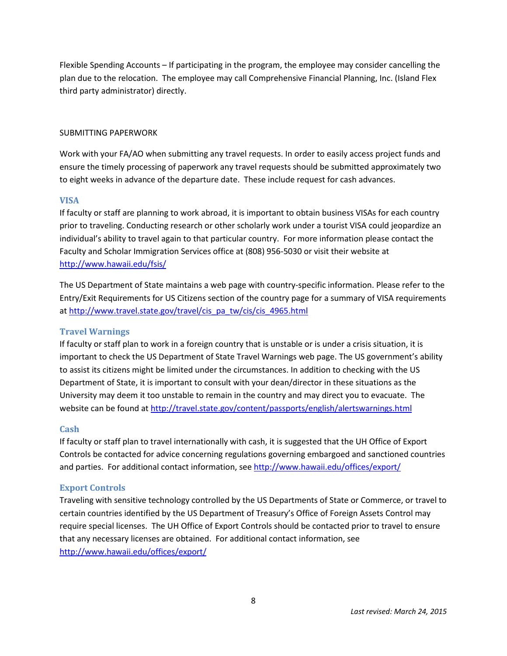Flexible Spending Accounts – If participating in the program, the employee may consider cancelling the plan due to the relocation. The employee may call Comprehensive Financial Planning, Inc. (Island Flex third party administrator) directly.

#### SUBMITTING PAPERWORK

Work with your FA/AO when submitting any travel requests. In order to easily access project funds and ensure the timely processing of paperwork any travel requests should be submitted approximately two to eight weeks in advance of the departure date. These include request for cash advances.

#### **VISA**

If faculty or staff are planning to work abroad, it is important to obtain business VISAs for each country prior to traveling. Conducting research or other scholarly work under a tourist VISA could jeopardize an individual's ability to travel again to that particular country. For more information please contact the Faculty and Scholar Immigration Services office at (808) 956-5030 or visit their website at <http://www.hawaii.edu/fsis/>

The US Department of State maintains a web page with country-specific information. Please refer to the Entry/Exit Requirements for US Citizens section of the country page for a summary of VISA requirements at [http://www.travel.state.gov/travel/cis\\_pa\\_tw/cis/cis\\_4965.html](http://www.travel.state.gov/travel/cis_pa_tw/cis/cis_4965.html)

#### **Travel Warnings**

If faculty or staff plan to work in a foreign country that is unstable or is under a crisis situation, it is important to check the US Department of State Travel Warnings web page. The US government's ability to assist its citizens might be limited under the circumstances. In addition to checking with the US Department of State, it is important to consult with your dean/director in these situations as the University may deem it too unstable to remain in the country and may direct you to evacuate. The website can be found at<http://travel.state.gov/content/passports/english/alertswarnings.html>

#### **Cash**

If faculty or staff plan to travel internationally with cash, it is suggested that the UH Office of Export Controls be contacted for advice concerning regulations governing embargoed and sanctioned countries and parties. For additional contact information, see <http://www.hawaii.edu/offices/export/>

#### **Export Controls**

Traveling with sensitive technology controlled by the US Departments of State or Commerce, or travel to certain countries identified by the US Department of Treasury's Office of Foreign Assets Control may require special licenses. The UH Office of Export Controls should be contacted prior to travel to ensure that any necessary licenses are obtained. For additional contact information, see <http://www.hawaii.edu/offices/export/>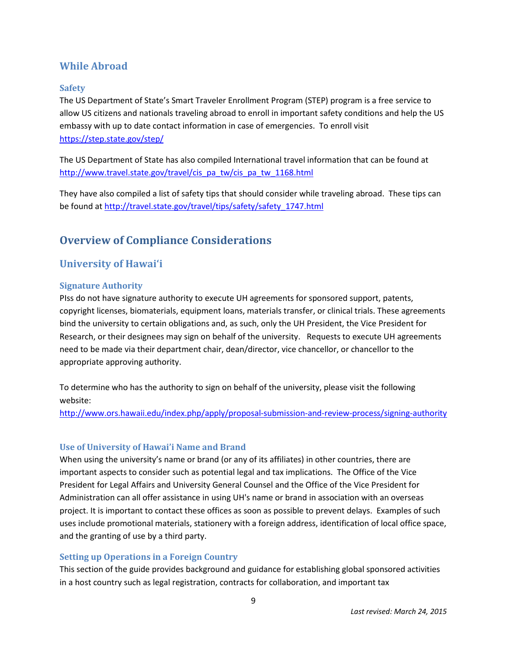# **While Abroad**

#### **Safety**

The US Department of State's Smart Traveler Enrollment Program (STEP) program is a free service to allow US citizens and nationals traveling abroad to enroll in important safety conditions and help the US embassy with up to date contact information in case of emergencies. To enroll visit <https://step.state.gov/step/>

The US Department of State has also compiled International travel information that can be found at [http://www.travel.state.gov/travel/cis\\_pa\\_tw/cis\\_pa\\_tw\\_1168.html](http://www.travel.state.gov/travel/cis_pa_tw/cis_pa_tw_1168.html)

They have also compiled a list of safety tips that should consider while traveling abroad. These tips can be found at [http://travel.state.gov/travel/tips/safety/safety\\_1747.html](http://travel.state.gov/travel/tips/safety/safety_1747.html)

# **Overview of Compliance Considerations**

# **University of Hawai'i**

#### **Signature Authority**

PIss do not have signature authority to execute UH agreements for sponsored support, patents, copyright licenses, biomaterials, equipment loans, materials transfer, or clinical trials. These agreements bind the university to certain obligations and, as such, only the UH President, the Vice President for Research, or their designees may sign on behalf of the university. Requests to execute UH agreements need to be made via their department chair, dean/director, vice chancellor, or chancellor to the appropriate approving authority.

To determine who has the authority to sign on behalf of the university, please visit the following website:

<http://www.ors.hawaii.edu/index.php/apply/proposal-submission-and-review-process/signing-authority>

#### **Use of University of Hawai'i Name and Brand**

When using the university's name or brand (or any of its affiliates) in other countries, there are important aspects to consider such as potential legal and tax implications. The Office of the Vice President for Legal Affairs and University General Counsel and the Office of the Vice President for Administration can all offer assistance in using UH's name or brand in association with an overseas project. It is important to contact these offices as soon as possible to prevent delays. Examples of such uses include promotional materials, stationery with a foreign address, identification of local office space, and the granting of use by a third party.

#### **Setting up Operations in a Foreign Country**

This section of the guide provides background and guidance for establishing global sponsored activities in a host country such as legal registration, contracts for collaboration, and important tax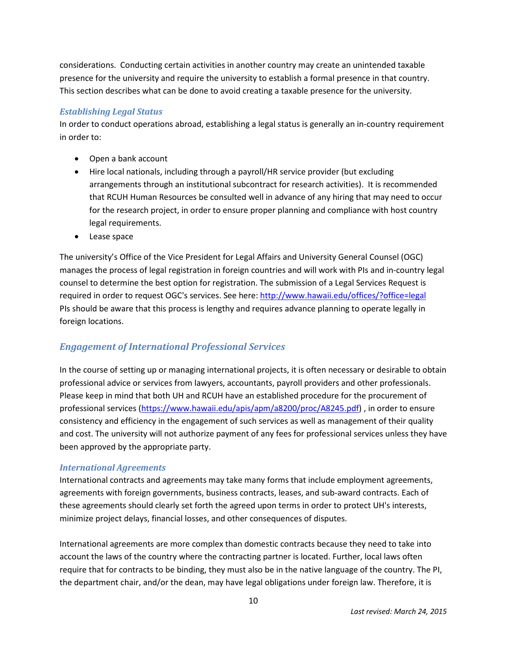considerations. Conducting certain activities in another country may create an unintended taxable presence for the university and require the university to establish a formal presence in that country. This section describes what can be done to avoid creating a taxable presence for the university.

#### *Establishing Legal Status*

In order to conduct operations abroad, establishing a legal status is generally an in-country requirement in order to:

- Open a bank account
- Hire local nationals, including through a payroll/HR service provider (but excluding arrangements through an institutional subcontract for research activities). It is recommended that RCUH Human Resources be consulted well in advance of any hiring that may need to occur for the research project, in order to ensure proper planning and compliance with host country legal requirements.
- Lease space

The university's Office of the Vice President for Legal Affairs and University General Counsel (OGC) manages the process of legal registration in foreign countries and will work with PIs and in-country legal counsel to determine the best option for registration. The submission of a Legal Services Request is required in order to request OGC's services. See here: <http://www.hawaii.edu/offices/?office=legal> PIs should be aware that this process is lengthy and requires advance planning to operate legally in foreign locations.

## *Engagement of International Professional Services*

In the course of setting up or managing international projects, it is often necessary or desirable to obtain professional advice or services from lawyers, accountants, payroll providers and other professionals. Please keep in mind that both UH and RCUH have an established procedure for the procurement of professional services [\(https://www.hawaii.edu/apis/apm/a8200/proc/A8245.pdf\)](https://www.hawaii.edu/apis/apm/a8200/proc/A8245.pdf) , in order to ensure consistency and efficiency in the engagement of such services as well as management of their quality and cost. The university will not authorize payment of any fees for professional services unless they have been approved by the appropriate party.

#### *International Agreements*

International contracts and agreements may take many forms that include employment agreements, agreements with foreign governments, business contracts, leases, and sub-award contracts. Each of these agreements should clearly set forth the agreed upon terms in order to protect UH's interests, minimize project delays, financial losses, and other consequences of disputes.

International agreements are more complex than domestic contracts because they need to take into account the laws of the country where the contracting partner is located. Further, local laws often require that for contracts to be binding, they must also be in the native language of the country. The PI, the department chair, and/or the dean, may have legal obligations under foreign law. Therefore, it is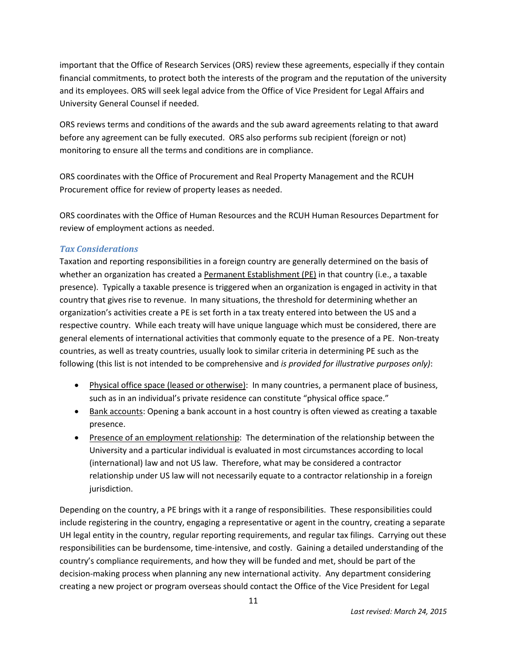important that the Office of Research Services (ORS) review these agreements, especially if they contain financial commitments, to protect both the interests of the program and the reputation of the university and its employees. ORS will seek legal advice from the Office of Vice President for Legal Affairs and University General Counsel if needed.

ORS reviews terms and conditions of the awards and the sub award agreements relating to that award before any agreement can be fully executed. ORS also performs sub recipient (foreign or not) monitoring to ensure all the terms and conditions are in compliance.

ORS coordinates with the Office of Procurement and Real Property Management and the RCUH Procurement office for review of property leases as needed.

ORS coordinates with the Office of Human Resources and the RCUH Human Resources Department for review of employment actions as needed.

#### *Tax Considerations*

Taxation and reporting responsibilities in a foreign country are generally determined on the basis of whether an organization has created a Permanent Establishment (PE) in that country (i.e., a taxable presence). Typically a taxable presence is triggered when an organization is engaged in activity in that country that gives rise to revenue. In many situations, the threshold for determining whether an organization's activities create a PE is set forth in a tax treaty entered into between the US and a respective country. While each treaty will have unique language which must be considered, there are general elements of international activities that commonly equate to the presence of a PE. Non-treaty countries, as well as treaty countries, usually look to similar criteria in determining PE such as the following (this list is not intended to be comprehensive and *is provided for illustrative purposes only)*:

- Physical office space (leased or otherwise): In many countries, a permanent place of business, such as in an individual's private residence can constitute "physical office space."
- Bank accounts: Opening a bank account in a host country is often viewed as creating a taxable presence.
- Presence of an employment relationship: The determination of the relationship between the University and a particular individual is evaluated in most circumstances according to local (international) law and not US law. Therefore, what may be considered a contractor relationship under US law will not necessarily equate to a contractor relationship in a foreign jurisdiction.

Depending on the country, a PE brings with it a range of responsibilities. These responsibilities could include registering in the country, engaging a representative or agent in the country, creating a separate UH legal entity in the country, regular reporting requirements, and regular tax filings. Carrying out these responsibilities can be burdensome, time-intensive, and costly. Gaining a detailed understanding of the country's compliance requirements, and how they will be funded and met, should be part of the decision-making process when planning any new international activity. Any department considering creating a new project or program overseas should contact the Office of the Vice President for Legal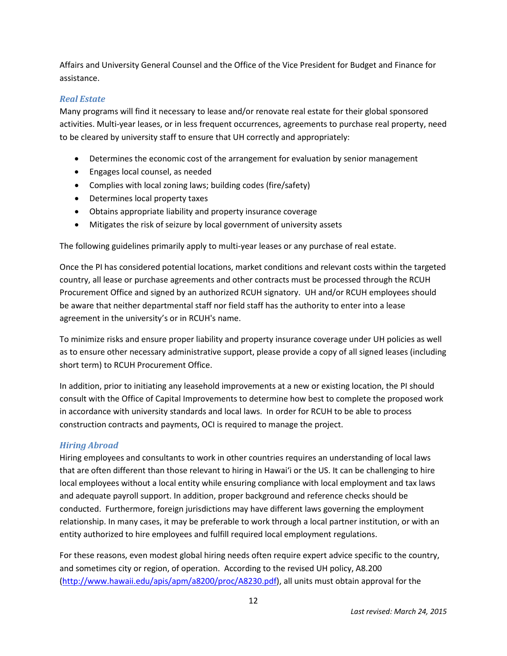Affairs and University General Counsel and the Office of the Vice President for Budget and Finance for assistance.

#### *Real Estate*

Many programs will find it necessary to lease and/or renovate real estate for their global sponsored activities. Multi-year leases, or in less frequent occurrences, agreements to purchase real property, need to be cleared by university staff to ensure that UH correctly and appropriately:

- Determines the economic cost of the arrangement for evaluation by senior management
- Engages local counsel, as needed
- Complies with local zoning laws; building codes (fire/safety)
- Determines local property taxes
- Obtains appropriate liability and property insurance coverage
- Mitigates the risk of seizure by local government of university assets

The following guidelines primarily apply to multi-year leases or any purchase of real estate.

Once the PI has considered potential locations, market conditions and relevant costs within the targeted country, all lease or purchase agreements and other contracts must be processed through the RCUH Procurement Office and signed by an authorized RCUH signatory. UH and/or RCUH employees should be aware that neither departmental staff nor field staff has the authority to enter into a lease agreement in the university's or in RCUH's name.

To minimize risks and ensure proper liability and property insurance coverage under UH policies as well as to ensure other necessary administrative support, please provide a copy of all signed leases (including short term) to RCUH Procurement Office.

In addition, prior to initiating any leasehold improvements at a new or existing location, the PI should consult with the Office of Capital Improvements to determine how best to complete the proposed work in accordance with university standards and local laws. In order for RCUH to be able to process construction contracts and payments, OCI is required to manage the project.

#### *Hiring Abroad*

Hiring employees and consultants to work in other countries requires an understanding of local laws that are often different than those relevant to hiring in Hawai'i or the US. It can be challenging to hire local employees without a local entity while ensuring compliance with local employment and tax laws and adequate payroll support. In addition, proper background and reference checks should be conducted. Furthermore, foreign jurisdictions may have different laws governing the employment relationship. In many cases, it may be preferable to work through a local partner institution, or with an entity authorized to hire employees and fulfill required local employment regulations.

For these reasons, even modest global hiring needs often require expert advice specific to the country, and sometimes city or region, of operation. According to the revised UH policy, A8.200 [\(http://www.hawaii.edu/apis/apm/a8200/proc/A8230.pdf\)](http://www.hawaii.edu/apis/apm/a8200/proc/A8230.pdf), all units must obtain approval for the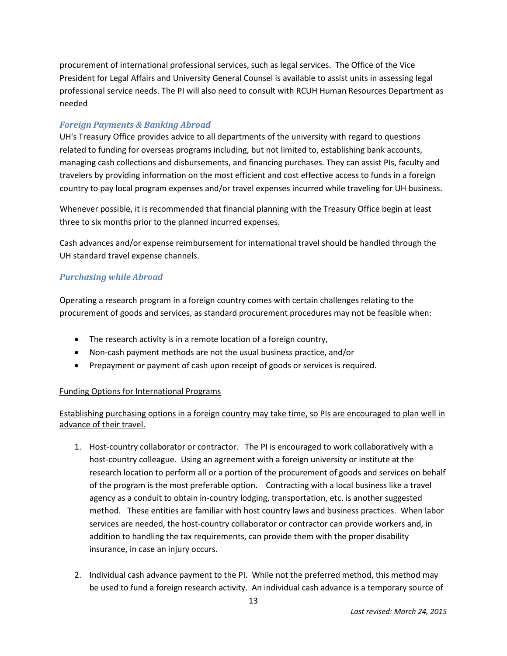procurement of international professional services, such as legal services. The Office of the Vice President for Legal Affairs and University General Counsel is available to assist units in assessing legal professional service needs. The PI will also need to consult with RCUH Human Resources Department as needed

#### *Foreign Payments & Banking Abroad*

UH's Treasury Office provides advice to all departments of the university with regard to questions related to funding for overseas programs including, but not limited to, establishing bank accounts, managing cash collections and disbursements, and financing purchases. They can assist PIs, faculty and travelers by providing information on the most efficient and cost effective access to funds in a foreign country to pay local program expenses and/or travel expenses incurred while traveling for UH business.

Whenever possible, it is recommended that financial planning with the Treasury Office begin at least three to six months prior to the planned incurred expenses.

Cash advances and/or expense reimbursement for international travel should be handled through the UH standard travel expense channels.

#### *Purchasing while Abroad*

Operating a research program in a foreign country comes with certain challenges relating to the procurement of goods and services, as standard procurement procedures may not be feasible when:

- The research activity is in a remote location of a foreign country,
- Non-cash payment methods are not the usual business practice, and/or
- Prepayment or payment of cash upon receipt of goods or services is required.

#### Funding Options for International Programs

## Establishing purchasing options in a foreign country may take time, so PIs are encouraged to plan well in advance of their travel.

- 1. Host-country collaborator or contractor. The PI is encouraged to work collaboratively with a host-country colleague. Using an agreement with a foreign university or institute at the research location to perform all or a portion of the procurement of goods and services on behalf of the program is the most preferable option. Contracting with a local business like a travel agency as a conduit to obtain in-country lodging, transportation, etc. is another suggested method. These entities are familiar with host country laws and business practices. When labor services are needed, the host-country collaborator or contractor can provide workers and, in addition to handling the tax requirements, can provide them with the proper disability insurance, in case an injury occurs.
- 2. Individual cash advance payment to the PI. While not the preferred method, this method may be used to fund a foreign research activity. An individual cash advance is a temporary source of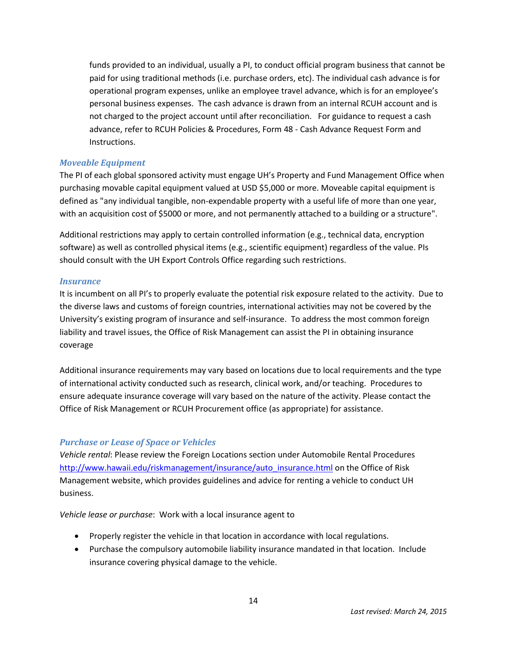funds provided to an individual, usually a PI, to conduct official program business that cannot be paid for using traditional methods (i.e. purchase orders, etc). The individual cash advance is for operational program expenses, unlike an employee travel advance, which is for an employee's personal business expenses. The cash advance is drawn from an internal RCUH account and is not charged to the project account until after reconciliation. For guidance to request a cash advance, refer to RCUH Policies & Procedures, Form 48 - Cash Advance Request Form and Instructions.

#### *Moveable Equipment*

The PI of each global sponsored activity must engage UH's Property and Fund Management Office when purchasing movable capital equipment valued at USD \$5,000 or more. Moveable capital equipment is defined as "any individual tangible, non-expendable property with a useful life of more than one year, with an acquisition cost of \$5000 or more, and not permanently attached to a building or a structure".

Additional restrictions may apply to certain controlled information (e.g., technical data, encryption software) as well as controlled physical items (e.g., scientific equipment) regardless of the value. PIs should consult with the UH Export Controls Office regarding such restrictions.

#### *Insurance*

It is incumbent on all PI's to properly evaluate the potential risk exposure related to the activity. Due to the diverse laws and customs of foreign countries, international activities may not be covered by the University's existing program of insurance and self-insurance. To address the most common foreign liability and travel issues, the Office of Risk Management can assist the PI in obtaining insurance coverage

Additional insurance requirements may vary based on locations due to local requirements and the type of international activity conducted such as research, clinical work, and/or teaching. Procedures to ensure adequate insurance coverage will vary based on the nature of the activity. Please contact the Office of Risk Management or RCUH Procurement office (as appropriate) for assistance.

#### *Purchase or Lease of Space or Vehicles*

*Vehicle rental*: Please review the Foreign Locations section under Automobile Rental Procedures [http://www.hawaii.edu/riskmanagement/insurance/auto\\_insurance.html](http://www.hawaii.edu/riskmanagement/insurance/auto_insurance.html) on the Office of Risk Management website, which provides guidelines and advice for renting a vehicle to conduct UH business.

*Vehicle lease or purchase*: Work with a local insurance agent to

- Properly register the vehicle in that location in accordance with local regulations.
- Purchase the compulsory automobile liability insurance mandated in that location. Include insurance covering physical damage to the vehicle.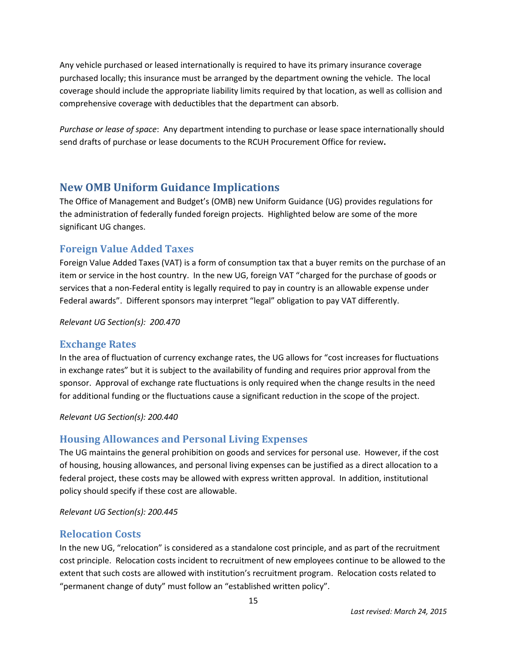Any vehicle purchased or leased internationally is required to have its primary insurance coverage purchased locally; this insurance must be arranged by the department owning the vehicle. The local coverage should include the appropriate liability limits required by that location, as well as collision and comprehensive coverage with deductibles that the department can absorb.

*Purchase or lease of space*: Any department intending to purchase or lease space internationally should send drafts of purchase or lease documents to the RCUH Procurement Office for review**.**

# **New OMB Uniform Guidance Implications**

The Office of Management and Budget's (OMB) new Uniform Guidance (UG) provides regulations for the administration of federally funded foreign projects. Highlighted below are some of the more significant UG changes.

# **Foreign Value Added Taxes**

Foreign Value Added Taxes (VAT) is a form of consumption tax that a buyer remits on the purchase of an item or service in the host country. In the new UG, foreign VAT "charged for the purchase of goods or services that a non-Federal entity is legally required to pay in country is an allowable expense under Federal awards". Different sponsors may interpret "legal" obligation to pay VAT differently.

*Relevant UG Section(s): 200.470*

## **Exchange Rates**

In the area of fluctuation of currency exchange rates, the UG allows for "cost increases for fluctuations in exchange rates" but it is subject to the availability of funding and requires prior approval from the sponsor. Approval of exchange rate fluctuations is only required when the change results in the need for additional funding or the fluctuations cause a significant reduction in the scope of the project.

*Relevant UG Section(s): 200.440*

# **Housing Allowances and Personal Living Expenses**

The UG maintains the general prohibition on goods and services for personal use. However, if the cost of housing, housing allowances, and personal living expenses can be justified as a direct allocation to a federal project, these costs may be allowed with express written approval. In addition, institutional policy should specify if these cost are allowable.

*Relevant UG Section(s): 200.445*

## **Relocation Costs**

In the new UG, "relocation" is considered as a standalone cost principle, and as part of the recruitment cost principle. Relocation costs incident to recruitment of new employees continue to be allowed to the extent that such costs are allowed with institution's recruitment program. Relocation costs related to "permanent change of duty" must follow an "established written policy".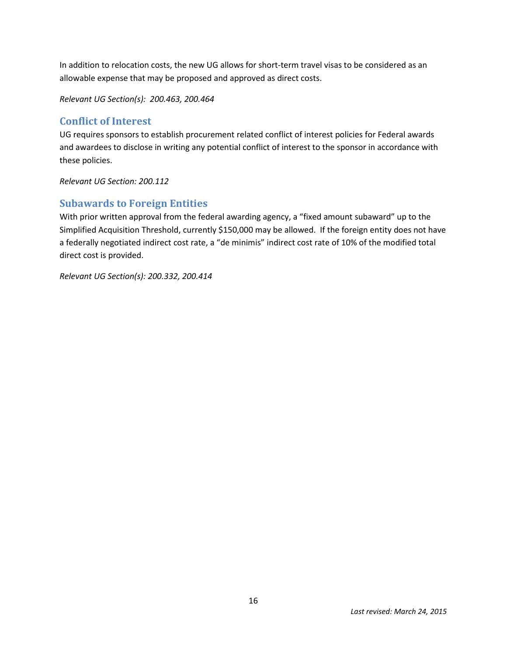In addition to relocation costs, the new UG allows for short-term travel visas to be considered as an allowable expense that may be proposed and approved as direct costs.

*Relevant UG Section(s): 200.463, 200.464*

## **Conflict of Interest**

UG requires sponsors to establish procurement related conflict of interest policies for Federal awards and awardees to disclose in writing any potential conflict of interest to the sponsor in accordance with these policies.

*Relevant UG Section: 200.112*

## **Subawards to Foreign Entities**

With prior written approval from the federal awarding agency, a "fixed amount subaward" up to the Simplified Acquisition Threshold, currently \$150,000 may be allowed. If the foreign entity does not have a federally negotiated indirect cost rate, a "de minimis" indirect cost rate of 10% of the modified total direct cost is provided.

*Relevant UG Section(s): 200.332, 200.414*